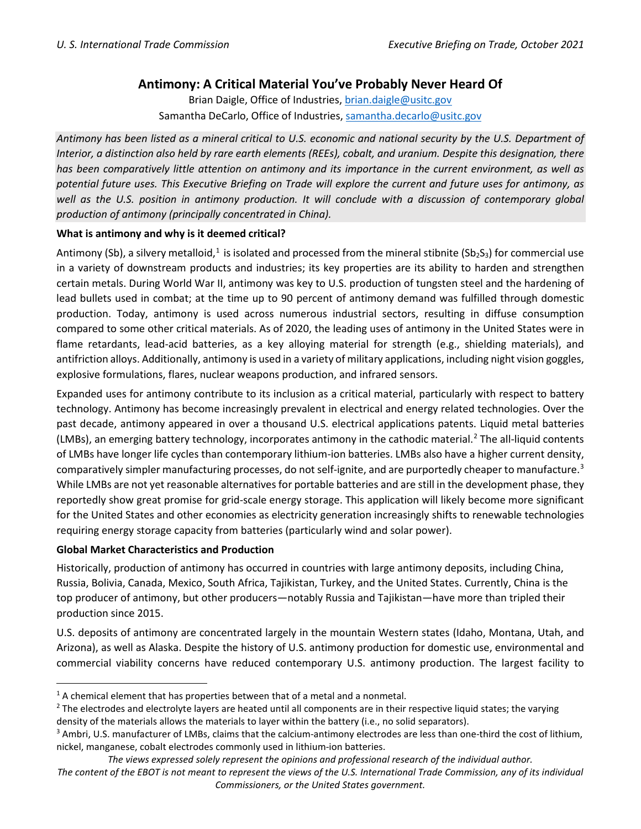## **Antimony: A Critical Material You've Probably Never Heard Of**

Brian Daigle, Office of Industries, [brian.daigle@usitc.gov](mailto:brian.daigle@usitc.gov) Samantha DeCarlo, Office of Industries, [samantha.decarlo@usitc.gov](mailto:samantha.decarlo@usitc.gov)

*Antimony has been listed as a mineral critical to U.S. economic and national security by the U.S. Department of Interior, a distinction also held by rare earth elements (REEs), cobalt, and uranium. Despite this designation, there has been comparatively little attention on antimony and its importance in the current environment, as well as potential future uses. This Executive Briefing on Trade will explore the current and future uses for antimony, as*  well as the U.S. position in antimony production. It will conclude with a discussion of contemporary global *production of antimony (principally concentrated in China).*

## **What is antimony and why is it deemed critical?**

Antimony (Sb), a silvery metalloid,<sup>1</sup> is isolated and processed from the mineral stibnite (Sb<sub>2</sub>S<sub>3</sub>) for commercial use in a variety of downstream products and industries; its key properties are its ability to harden and strengthen certain metals. During World War II, antimony was key to U.S. production of tungsten steel and the hardening of lead bullets used in combat; at the time up to 90 percent of antimony demand was fulfilled through domestic production. Today, antimony is used across numerous industrial sectors, resulting in diffuse consumption compared to some other critical materials. As of 2020, the leading uses of antimony in the United States were in flame retardants, lead-acid batteries, as a key alloying material for strength (e.g., shielding materials), and antifriction alloys. Additionally, antimony is used in a variety of military applications, including night vision goggles, explosive formulations, flares, nuclear weapons production, and infrared sensors.

Expanded uses for antimony contribute to its inclusion as a critical material, particularly with respect to battery technology. Antimony has become increasingly prevalent in electrical and energy related technologies. Over the past decade, antimony appeared in over a thousand U.S. electrical applications patents. Liquid metal batteries (LMBs), an emerging battery technology, incorporates antimony in the cathodic material. [2](#page-0-0) The all-liquid contents of LMBs have longer life cycles than contemporary lithium-ion batteries. LMBs also have a higher current density, comparatively simpler manufacturing processes, do not self-ignite, and are purportedly cheaper to manufacture.<sup>[3](#page-0-1)</sup> While LMBs are not yet reasonable alternatives for portable batteries and are still in the development phase, they reportedly show great promise for grid-scale energy storage. This application will likely become more significant for the United States and other economies as electricity generation increasingly shifts to renewable technologies requiring energy storage capacity from batteries (particularly wind and solar power).

## **Global Market Characteristics and Production**

Historically, production of antimony has occurred in countries with large antimony deposits, including China, Russia, Bolivia, Canada, Mexico, South Africa, Tajikistan, Turkey, and the United States. Currently, China is the top producer of antimony, but other producers—notably Russia and Tajikistan—have more than tripled their production since 2015.

U.S. deposits of antimony are concentrated largely in the mountain Western states (Idaho, Montana, Utah, and Arizona), as well as Alaska. Despite the history of U.S. antimony production for domestic use, environmental and commercial viability concerns have reduced contemporary U.S. antimony production. The largest facility to

 $1$  A chemical element that has properties between that of a metal and a nonmetal.

<span id="page-0-0"></span> $<sup>2</sup>$  The electrodes and electrolyte layers are heated until all components are in their respective liquid states; the varying</sup> density of the materials allows the materials to layer within the battery (i.e., no solid separators).

<span id="page-0-1"></span><sup>&</sup>lt;sup>3</sup> Ambri, U.S. manufacturer of LMBs, claims that the calcium-antimony electrodes are less than one-third the cost of lithium, nickel, manganese, cobalt electrodes commonly used in lithium-ion batteries.

*The views expressed solely represent the opinions and professional research of the individual author.*

*The content of the EBOT is not meant to represent the views of the U.S. International Trade Commission, any of its individual Commissioners, or the United States government.*